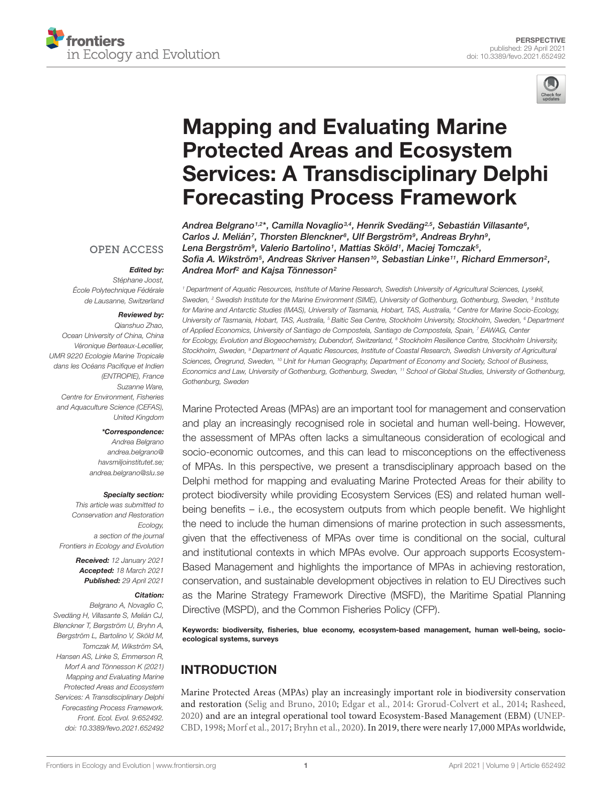



# Mapping and Evaluating Marine Protected Areas and Ecosystem [Services: A Transdisciplinary Delphi](https://www.frontiersin.org/articles/10.3389/fevo.2021.652492/full) Forecasting Process Framework

Andrea Belgrano1,2\*, Camilla Novaglio3,4, Henrik Svedäng<sup>2,5</sup>, Sebastián Villasante<sup>s</sup>, Carlos J. Melián<sup>7</sup>, Thorsten Blenckner<sup>s</sup>, Ulf Bergström<sup>s</sup>, Andreas Bryhn<sup>s</sup>, Lena Bergström<sup>9</sup>, Valerio Bartolino1, Mattias Sköld1, Maciej Tomczak<sup>5</sup>, Sofia A. Wikström $^5$ , Andreas Skriver Hansen $^{10}$ , Sebastian Linke $^{11}$ , Richard Emmerson $^2$ , Andrea Morf<sup>2</sup> and Kajsa Tönnesson<sup>2</sup>

## **OPEN ACCESS**

#### Edited by:

Stéphane Joost, École Polytechnique Fédérale de Lausanne, Switzerland

#### Reviewed by:

Qianshuo Zhao, Ocean University of China, China Véronique Berteaux-Lecellier, UMR 9220 Ecologie Marine Tropicale dans les Océans Pacifique et Indien (ENTROPIE), France Suzanne Ware, Centre for Environment, Fisheries and Aquaculture Science (CEFAS), United Kingdom

#### \*Correspondence:

Andrea Belgrano [andrea.belgrano@](mailto:andrea.belgrano@havsmiljoinstitutet.se) [havsmiljoinstitutet.se;](mailto:andrea.belgrano@havsmiljoinstitutet.se) andrea.belgrano@slu.se

#### Specialty section:

This article was submitted to Conservation and Restoration Ecology, a section of the journal Frontiers in Ecology and Evolution

> Received: 12 January 2021 Accepted: 18 March 2021 Published: 29 April 2021

#### Citation:

Belgrano A, Novaglio C, Svedäng H, Villasante S, Melián CJ, Blenckner T, Bergström U, Bryhn A, Bergström L, Bartolino V, Sköld M, Tomczak M, Wikström SA, Hansen AS, Linke S, Emmerson R, Morf A and Tönnesson K (2021) Mapping and Evaluating Marine Protected Areas and Ecosystem Services: A Transdisciplinary Delphi Forecasting Process Framework. Front. Ecol. Evol. 9:652492. doi: [10.3389/fevo.2021.652492](https://doi.org/10.3389/fevo.2021.652492) <sup>1</sup> Department of Aquatic Resources, Institute of Marine Research, Swedish University of Agricultural Sciences, Lysekil, Sweden, <sup>2</sup> Swedish Institute for the Marine Environment (SIME), University of Gothenburg, Gothenburg, Sweden, <sup>3</sup> Institute for Marine and Antarctic Studies (IMAS), University of Tasmania, Hobart, TAS, Australia, <sup>4</sup> Centre for Marine Socio-Ecology, University of Tasmania, Hobart, TAS, Australia, <sup>5</sup> Baltic Sea Centre, Stockholm University, Stockholm, Sweden, <sup>6</sup> Department of Applied Economics, University of Santiago de Compostela, Santiago de Compostela, Spain, 7 EAWAG, Center for Ecology, Evolution and Biogeochemistry, Dubendorf, Switzerland, <sup>8</sup> Stockholm Resilience Centre, Stockholm University, Stockholm, Sweden, <sup>9</sup> Department of Aquatic Resources, Institute of Coastal Research, Swedish University of Agricultural Sciences, Öregrund, Sweden, <sup>10</sup> Unit for Human Geography, Department of Economy and Society, School of Business, Economics and Law, University of Gothenburg, Gothenburg, Sweden, <sup>11</sup> School of Global Studies, University of Gothenburg, Gothenburg, Sweden

Marine Protected Areas (MPAs) are an important tool for management and conservation and play an increasingly recognised role in societal and human well-being. However, the assessment of MPAs often lacks a simultaneous consideration of ecological and socio-economic outcomes, and this can lead to misconceptions on the effectiveness of MPAs. In this perspective, we present a transdisciplinary approach based on the Delphi method for mapping and evaluating Marine Protected Areas for their ability to protect biodiversity while providing Ecosystem Services (ES) and related human wellbeing benefits – i.e., the ecosystem outputs from which people benefit. We highlight the need to include the human dimensions of marine protection in such assessments, given that the effectiveness of MPAs over time is conditional on the social, cultural and institutional contexts in which MPAs evolve. Our approach supports Ecosystem-Based Management and highlights the importance of MPAs in achieving restoration, conservation, and sustainable development objectives in relation to EU Directives such as the Marine Strategy Framework Directive (MSFD), the Maritime Spatial Planning Directive (MSPD), and the Common Fisheries Policy (CFP).

Keywords: biodiversity, fisheries, blue economy, ecosystem-based management, human well-being, socioecological systems, surveys

## INTRODUCTION

Marine Protected Areas (MPAs) play an increasingly important role in biodiversity conservation and restoration [\(Selig and Bruno,](#page-9-0) [2010;](#page-9-0) [Edgar et al.,](#page-8-0) [2014:](#page-8-0) [Grorud-Colvert et al.,](#page-8-1) [2014;](#page-8-1) [Rasheed,](#page-9-1) [2020\)](#page-9-1) and are an integral operational tool toward Ecosystem-Based Management (EBM) [\(UNEP-](#page-9-2)[CBD,](#page-9-2) [1998;](#page-9-2) [Morf et al.,](#page-9-3) [2017;](#page-9-3) [Bryhn et al.,](#page-7-0) [2020\)](#page-7-0). In 2019, there were nearly 17,000 MPAs worldwide,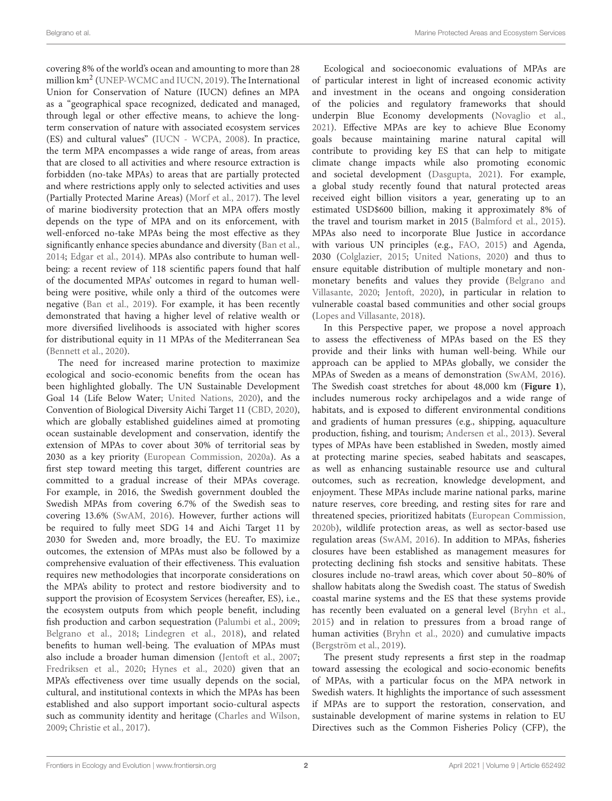covering 8% of the world's ocean and amounting to more than 28 million km<sup>2</sup> [\(UNEP-WCMC and IUCN,](#page-9-4) [2019\)](#page-9-4). The International Union for Conservation of Nature (IUCN) defines an MPA as a "geographical space recognized, dedicated and managed, through legal or other effective means, to achieve the longterm conservation of nature with associated ecosystem services (ES) and cultural values" [\(IUCN - WCPA,](#page-8-2) [2008\)](#page-8-2). In practice, the term MPA encompasses a wide range of areas, from areas that are closed to all activities and where resource extraction is forbidden (no-take MPAs) to areas that are partially protected and where restrictions apply only to selected activities and uses (Partially Protected Marine Areas) [\(Morf et al.,](#page-9-3) [2017\)](#page-9-3). The level of marine biodiversity protection that an MPA offers mostly depends on the type of MPA and on its enforcement, with well-enforced no-take MPAs being the most effective as they significantly enhance species abundance and diversity [\(Ban et al.,](#page-7-1) [2014;](#page-7-1) [Edgar et al.,](#page-8-0) [2014\)](#page-8-0). MPAs also contribute to human wellbeing: a recent review of 118 scientific papers found that half of the documented MPAs' outcomes in regard to human wellbeing were positive, while only a third of the outcomes were negative [\(Ban et al.,](#page-7-2) [2019\)](#page-7-2). For example, it has been recently demonstrated that having a higher level of relative wealth or more diversified livelihoods is associated with higher scores for distributional equity in 11 MPAs of the Mediterranean Sea [\(Bennett et al.,](#page-7-3) [2020\)](#page-7-3).

The need for increased marine protection to maximize ecological and socio-economic benefits from the ocean has been highlighted globally. The UN Sustainable Development Goal 14 (Life Below Water; [United Nations,](#page-9-5) [2020\)](#page-9-5), and the Convention of Biological Diversity Aichi Target 11 [\(CBD,](#page-8-3) [2020\)](#page-8-3), which are globally established guidelines aimed at promoting ocean sustainable development and conservation, identify the extension of MPAs to cover about 30% of territorial seas by 2030 as a key priority [\(European Commission,](#page-8-4) [2020a\)](#page-8-4). As a first step toward meeting this target, different countries are committed to a gradual increase of their MPAs coverage. For example, in 2016, the Swedish government doubled the Swedish MPAs from covering 6.7% of the Swedish seas to covering 13.6% [\(SwAM,](#page-9-6) [2016\)](#page-9-6). However, further actions will be required to fully meet SDG 14 and Aichi Target 11 by 2030 for Sweden and, more broadly, the EU. To maximize outcomes, the extension of MPAs must also be followed by a comprehensive evaluation of their effectiveness. This evaluation requires new methodologies that incorporate considerations on the MPA's ability to protect and restore biodiversity and to support the provision of Ecosystem Services (hereafter, ES), i.e., the ecosystem outputs from which people benefit, including fish production and carbon sequestration [\(Palumbi et al.,](#page-9-7) [2009;](#page-9-7) [Belgrano et al.,](#page-7-4) [2018;](#page-7-4) [Lindegren et al.,](#page-9-8) [2018\)](#page-9-8), and related benefits to human well-being. The evaluation of MPAs must also include a broader human dimension [\(Jentoft et al.,](#page-9-9) [2007;](#page-9-9) [Fredriksen et al.,](#page-8-5) [2020;](#page-8-5) [Hynes et al.,](#page-8-6) [2020\)](#page-8-6) given that an MPA's effectiveness over time usually depends on the social, cultural, and institutional contexts in which the MPAs has been established and also support important socio-cultural aspects such as community identity and heritage [\(Charles and Wilson,](#page-8-7) [2009;](#page-8-7) [Christie et al.,](#page-8-8) [2017\)](#page-8-8).

Ecological and socioeconomic evaluations of MPAs are of particular interest in light of increased economic activity and investment in the oceans and ongoing consideration of the policies and regulatory frameworks that should underpin Blue Economy developments [\(Novaglio et al.,](#page-9-10) [2021\)](#page-9-10). Effective MPAs are key to achieve Blue Economy goals because maintaining marine natural capital will contribute to providing key ES that can help to mitigate climate change impacts while also promoting economic and societal development [\(Dasgupta,](#page-8-9) [2021\)](#page-8-9). For example, a global study recently found that natural protected areas received eight billion visitors a year, generating up to an estimated USD\$600 billion, making it approximately 8% of the travel and tourism market in 2015 [\(Balmford et al.,](#page-7-5) [2015\)](#page-7-5). MPAs also need to incorporate Blue Justice in accordance with various UN principles (e.g., [FAO,](#page-8-10) [2015\)](#page-8-10) and Agenda, 2030 [\(Colglazier,](#page-8-11) [2015;](#page-8-11) [United Nations,](#page-9-5) [2020\)](#page-9-5) and thus to ensure equitable distribution of multiple monetary and nonmonetary benefits and values they provide [\(Belgrano and](#page-7-6) [Villasante,](#page-7-6) [2020;](#page-7-6) [Jentoft,](#page-8-12) [2020\)](#page-8-12), in particular in relation to vulnerable coastal based communities and other social groups [\(Lopes and Villasante,](#page-9-11) [2018\)](#page-9-11).

In this Perspective paper, we propose a novel approach to assess the effectiveness of MPAs based on the ES they provide and their links with human well-being. While our approach can be applied to MPAs globally, we consider the MPAs of Sweden as a means of demonstration [\(SwAM,](#page-9-6) [2016\)](#page-9-6). The Swedish coast stretches for about 48,000 km (**[Figure 1](#page-2-0)**), includes numerous rocky archipelagos and a wide range of habitats, and is exposed to different environmental conditions and gradients of human pressures (e.g., shipping, aquaculture production, fishing, and tourism; [Andersen et al.,](#page-7-7) [2013\)](#page-7-7). Several types of MPAs have been established in Sweden, mostly aimed at protecting marine species, seabed habitats and seascapes, as well as enhancing sustainable resource use and cultural outcomes, such as recreation, knowledge development, and enjoyment. These MPAs include marine national parks, marine nature reserves, core breeding, and resting sites for rare and threatened species, prioritized habitats [\(European Commission,](#page-8-13) [2020b\)](#page-8-13), wildlife protection areas, as well as sector-based use regulation areas [\(SwAM,](#page-9-6) [2016\)](#page-9-6). In addition to MPAs, fisheries closures have been established as management measures for protecting declining fish stocks and sensitive habitats. These closures include no-trawl areas, which cover about 50–80% of shallow habitats along the Swedish coast. The status of Swedish coastal marine systems and the ES that these systems provide has recently been evaluated on a general level [\(Bryhn et al.,](#page-8-14) [2015\)](#page-8-14) and in relation to pressures from a broad range of human activities [\(Bryhn et al.,](#page-7-0) [2020\)](#page-7-0) and cumulative impacts [\(Bergström et al.,](#page-7-8) [2019\)](#page-7-8).

The present study represents a first step in the roadmap toward assessing the ecological and socio-economic benefits of MPAs, with a particular focus on the MPA network in Swedish waters. It highlights the importance of such assessment if MPAs are to support the restoration, conservation, and sustainable development of marine systems in relation to EU Directives such as the Common Fisheries Policy (CFP), the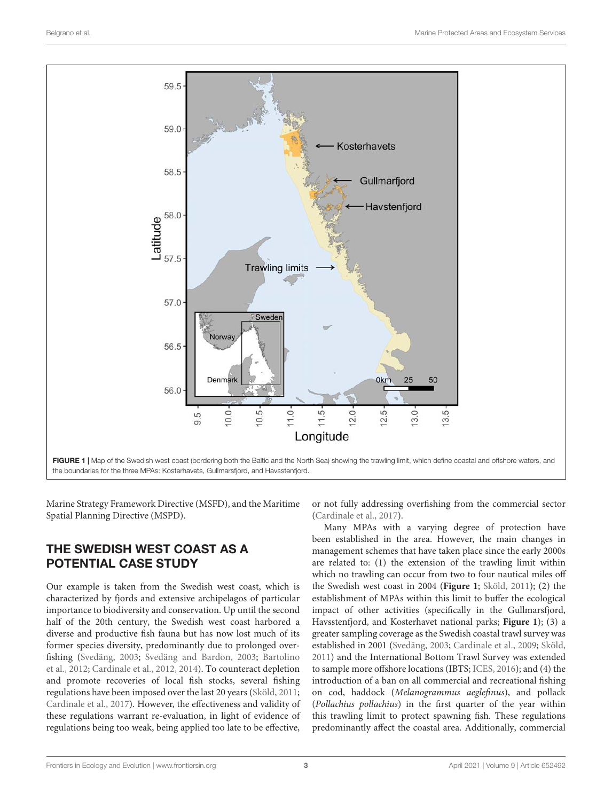

<span id="page-2-0"></span>Marine Strategy Framework Directive (MSFD), and the Maritime Spatial Planning Directive (MSPD).

## THE SWEDISH WEST COAST AS A POTENTIAL CASE STUDY

Our example is taken from the Swedish west coast, which is characterized by fjords and extensive archipelagos of particular importance to biodiversity and conservation. Up until the second half of the 20th century, the Swedish west coast harbored a diverse and productive fish fauna but has now lost much of its former species diversity, predominantly due to prolonged overfishing [\(Svedäng,](#page-9-12) [2003;](#page-9-12) [Svedäng and Bardon,](#page-9-13) [2003;](#page-9-13) [Bartolino](#page-7-9) [et al.,](#page-7-9) [2012;](#page-7-9) [Cardinale et al.,](#page-8-15) [2012,](#page-8-15) [2014\)](#page-8-16). To counteract depletion and promote recoveries of local fish stocks, several fishing regulations have been imposed over the last 20 years [\(Sköld,](#page-9-14) [2011;](#page-9-14) [Cardinale et al.,](#page-8-17) [2017\)](#page-8-17). However, the effectiveness and validity of these regulations warrant re-evaluation, in light of evidence of regulations being too weak, being applied too late to be effective,

or not fully addressing overfishing from the commercial sector [\(Cardinale et al.,](#page-8-17) [2017\)](#page-8-17).

Many MPAs with a varying degree of protection have been established in the area. However, the main changes in management schemes that have taken place since the early 2000s are related to: (1) the extension of the trawling limit within which no trawling can occur from two to four nautical miles off the Swedish west coast in 2004 (**[Figure 1](#page-2-0)**; [Sköld,](#page-9-14) [2011\)](#page-9-14); (2) the establishment of MPAs within this limit to buffer the ecological impact of other activities (specifically in the Gullmarsfjord, Havsstenfjord, and Kosterhavet national parks; **[Figure 1](#page-2-0)**); (3) a greater sampling coverage as the Swedish coastal trawl survey was established in 2001 [\(Svedäng,](#page-9-12) [2003;](#page-9-12) [Cardinale et al.,](#page-8-18) [2009;](#page-8-18) [Sköld,](#page-9-14) [2011\)](#page-9-14) and the International Bottom Trawl Survey was extended to sample more offshore locations (IBTS; [ICES,](#page-8-19) [2016\)](#page-8-19); and (4) the introduction of a ban on all commercial and recreational fishing on cod, haddock (Melanogrammus aeglefinus), and pollack (Pollachius pollachius) in the first quarter of the year within this trawling limit to protect spawning fish. These regulations predominantly affect the coastal area. Additionally, commercial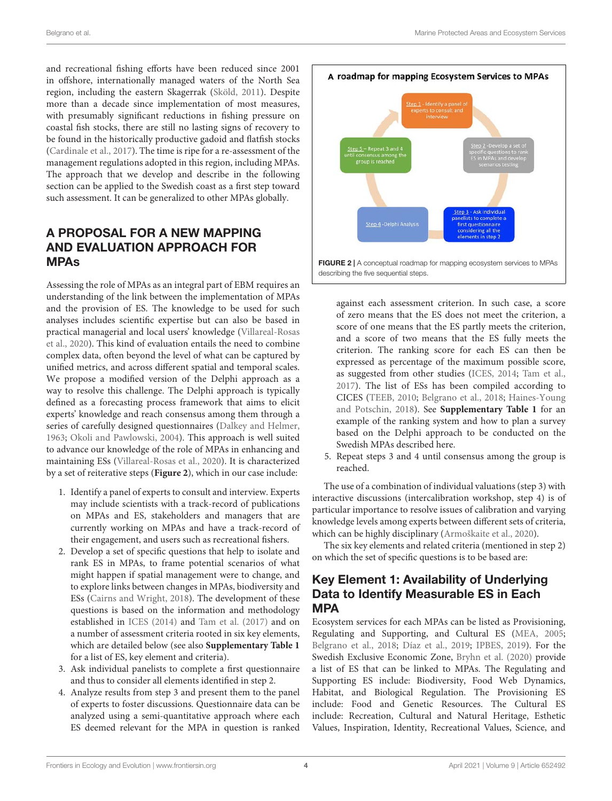and recreational fishing efforts have been reduced since 2001 in offshore, internationally managed waters of the North Sea region, including the eastern Skagerrak [\(Sköld,](#page-9-14) [2011\)](#page-9-14). Despite more than a decade since implementation of most measures, with presumably significant reductions in fishing pressure on coastal fish stocks, there are still no lasting signs of recovery to be found in the historically productive gadoid and flatfish stocks [\(Cardinale et al.,](#page-8-17) [2017\)](#page-8-17). The time is ripe for a re-assessment of the management regulations adopted in this region, including MPAs. The approach that we develop and describe in the following section can be applied to the Swedish coast as a first step toward such assessment. It can be generalized to other MPAs globally.

# A PROPOSAL FOR A NEW MAPPING AND EVALUATION APPROACH FOR MPAs

Assessing the role of MPAs as an integral part of EBM requires an understanding of the link between the implementation of MPAs and the provision of ES. The knowledge to be used for such analyses includes scientific expertise but can also be based in practical managerial and local users' knowledge [\(Villareal-Rosas](#page-9-15) [et al.,](#page-9-15) [2020\)](#page-9-15). This kind of evaluation entails the need to combine complex data, often beyond the level of what can be captured by unified metrics, and across different spatial and temporal scales. We propose a modified version of the Delphi approach as a way to resolve this challenge. The Delphi approach is typically defined as a forecasting process framework that aims to elicit experts' knowledge and reach consensus among them through a series of carefully designed questionnaires [\(Dalkey and Helmer,](#page-8-20) [1963;](#page-8-20) [Okoli and Pawlowski,](#page-9-16) [2004\)](#page-9-16). This approach is well suited to advance our knowledge of the role of MPAs in enhancing and maintaining ESs [\(Villareal-Rosas et al.,](#page-9-15) [2020\)](#page-9-15). It is characterized by a set of reiterative steps (**[Figure 2](#page-3-0)**), which in our case include:

- 1. Identify a panel of experts to consult and interview. Experts may include scientists with a track-record of publications on MPAs and ES, stakeholders and managers that are currently working on MPAs and have a track-record of their engagement, and users such as recreational fishers.
- 2. Develop a set of specific questions that help to isolate and rank ES in MPAs, to frame potential scenarios of what might happen if spatial management were to change, and to explore links between changes in MPAs, biodiversity and ESs [\(Cairns and Wright,](#page-8-21) [2018\)](#page-8-21). The development of these questions is based on the information and methodology established in [ICES](#page-8-22) [\(2014\)](#page-8-22) and [Tam et al.](#page-9-17) [\(2017\)](#page-9-17) and on a number of assessment criteria rooted in six key elements, which are detailed below (see also **[Supplementary Table 1](#page-7-10)** for a list of ES, key element and criteria).
- 3. Ask individual panelists to complete a first questionnaire and thus to consider all elements identified in step 2.
- 4. Analyze results from step 3 and present them to the panel of experts to foster discussions. Questionnaire data can be analyzed using a semi-quantitative approach where each ES deemed relevant for the MPA in question is ranked



<span id="page-3-0"></span>against each assessment criterion. In such case, a score of zero means that the ES does not meet the criterion, a score of one means that the ES partly meets the criterion, and a score of two means that the ES fully meets the criterion. The ranking score for each ES can then be expressed as percentage of the maximum possible score, as suggested from other studies [\(ICES,](#page-8-22) [2014;](#page-8-22) [Tam et al.,](#page-9-17) [2017\)](#page-9-17). The list of ESs has been compiled according to CICES [\(TEEB,](#page-9-18) [2010;](#page-9-18) [Belgrano et al.,](#page-7-4) [2018;](#page-7-4) [Haines-Young](#page-8-23) [and Potschin,](#page-8-23) [2018\)](#page-8-23). See **[Supplementary Table 1](#page-7-10)** for an example of the ranking system and how to plan a survey based on the Delphi approach to be conducted on the Swedish MPAs described here.

5. Repeat steps 3 and 4 until consensus among the group is reached.

The use of a combination of individual valuations (step 3) with interactive discussions (intercalibration workshop, step 4) is of particular importance to resolve issues of calibration and varying knowledge levels among experts between different sets of criteria, which can be highly disciplinary [\(Armoškaite et al.,](#page-7-11) [2020\)](#page-7-11).

The six key elements and related criteria (mentioned in step 2) on which the set of specific questions is to be based are:

# Key Element 1: Availability of Underlying Data to Identify Measurable ES in Each MPA

Ecosystem services for each MPAs can be listed as Provisioning, Regulating and Supporting, and Cultural ES [\(MEA,](#page-9-19) [2005;](#page-9-19) [Belgrano et al.,](#page-7-4) [2018;](#page-7-4) [Díaz et al.,](#page-8-24) [2019;](#page-8-24) [IPBES,](#page-8-25) [2019\)](#page-8-25). For the Swedish Exclusive Economic Zone, [Bryhn et al.](#page-7-0) [\(2020\)](#page-7-0) provide a list of ES that can be linked to MPAs. The Regulating and Supporting ES include: Biodiversity, Food Web Dynamics, Habitat, and Biological Regulation. The Provisioning ES include: Food and Genetic Resources. The Cultural ES include: Recreation, Cultural and Natural Heritage, Esthetic Values, Inspiration, Identity, Recreational Values, Science, and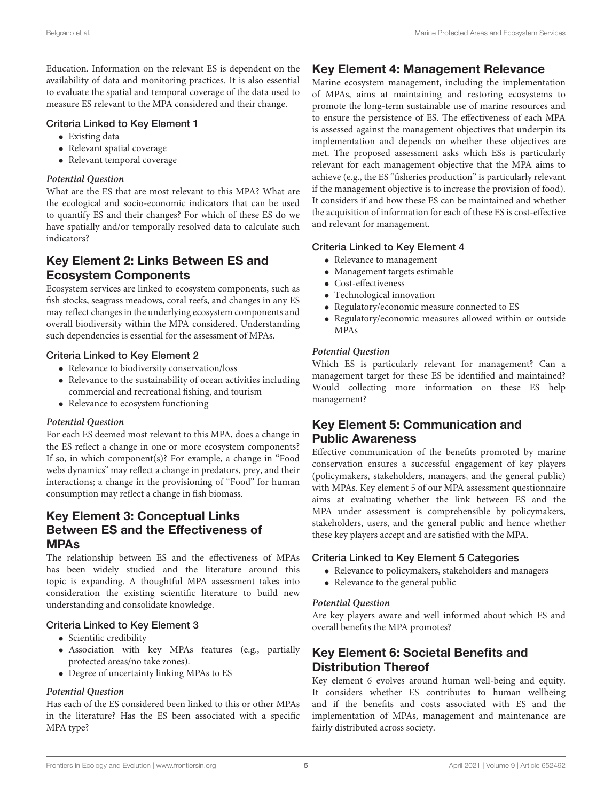Education. Information on the relevant ES is dependent on the availability of data and monitoring practices. It is also essential to evaluate the spatial and temporal coverage of the data used to measure ES relevant to the MPA considered and their change.

## Criteria Linked to Key Element 1

- Existing data
- Relevant spatial coverage
- Relevant temporal coverage

#### **Potential Question**

What are the ES that are most relevant to this MPA? What are the ecological and socio-economic indicators that can be used to quantify ES and their changes? For which of these ES do we have spatially and/or temporally resolved data to calculate such indicators?

# Key Element 2: Links Between ES and Ecosystem Components

Ecosystem services are linked to ecosystem components, such as fish stocks, seagrass meadows, coral reefs, and changes in any ES may reflect changes in the underlying ecosystem components and overall biodiversity within the MPA considered. Understanding such dependencies is essential for the assessment of MPAs.

## Criteria Linked to Key Element 2

- Relevance to biodiversity conservation/loss
- Relevance to the sustainability of ocean activities including commercial and recreational fishing, and tourism
- Relevance to ecosystem functioning

#### **Potential Question**

For each ES deemed most relevant to this MPA, does a change in the ES reflect a change in one or more ecosystem components? If so, in which component(s)? For example, a change in "Food webs dynamics" may reflect a change in predators, prey, and their interactions; a change in the provisioning of "Food" for human consumption may reflect a change in fish biomass.

## Key Element 3: Conceptual Links Between ES and the Effectiveness of MPAs

The relationship between ES and the effectiveness of MPAs has been widely studied and the literature around this topic is expanding. A thoughtful MPA assessment takes into consideration the existing scientific literature to build new understanding and consolidate knowledge.

## Criteria Linked to Key Element 3

- Scientific credibility
- Association with key MPAs features (e.g., partially protected areas/no take zones).
- Degree of uncertainty linking MPAs to ES

## **Potential Question**

Has each of the ES considered been linked to this or other MPAs in the literature? Has the ES been associated with a specific MPA type?

## Key Element 4: Management Relevance

Marine ecosystem management, including the implementation of MPAs, aims at maintaining and restoring ecosystems to promote the long-term sustainable use of marine resources and to ensure the persistence of ES. The effectiveness of each MPA is assessed against the management objectives that underpin its implementation and depends on whether these objectives are met. The proposed assessment asks which ESs is particularly relevant for each management objective that the MPA aims to achieve (e.g., the ES "fisheries production" is particularly relevant if the management objective is to increase the provision of food). It considers if and how these ES can be maintained and whether the acquisition of information for each of these ES is cost-effective and relevant for management.

## Criteria Linked to Key Element 4

- Relevance to management
- Management targets estimable
- Cost-effectiveness
- Technological innovation
- Regulatory/economic measure connected to ES
- Regulatory/economic measures allowed within or outside MPAs

## **Potential Question**

Which ES is particularly relevant for management? Can a management target for these ES be identified and maintained? Would collecting more information on these ES help management?

## Key Element 5: Communication and Public Awareness

Effective communication of the benefits promoted by marine conservation ensures a successful engagement of key players (policymakers, stakeholders, managers, and the general public) with MPAs. Key element 5 of our MPA assessment questionnaire aims at evaluating whether the link between ES and the MPA under assessment is comprehensible by policymakers, stakeholders, users, and the general public and hence whether these key players accept and are satisfied with the MPA.

## Criteria Linked to Key Element 5 Categories

- Relevance to policymakers, stakeholders and managers
- Relevance to the general public

#### **Potential Question**

Are key players aware and well informed about which ES and overall benefits the MPA promotes?

# Key Element 6: Societal Benefits and Distribution Thereof

Key element 6 evolves around human well-being and equity. It considers whether ES contributes to human wellbeing and if the benefits and costs associated with ES and the implementation of MPAs, management and maintenance are fairly distributed across society.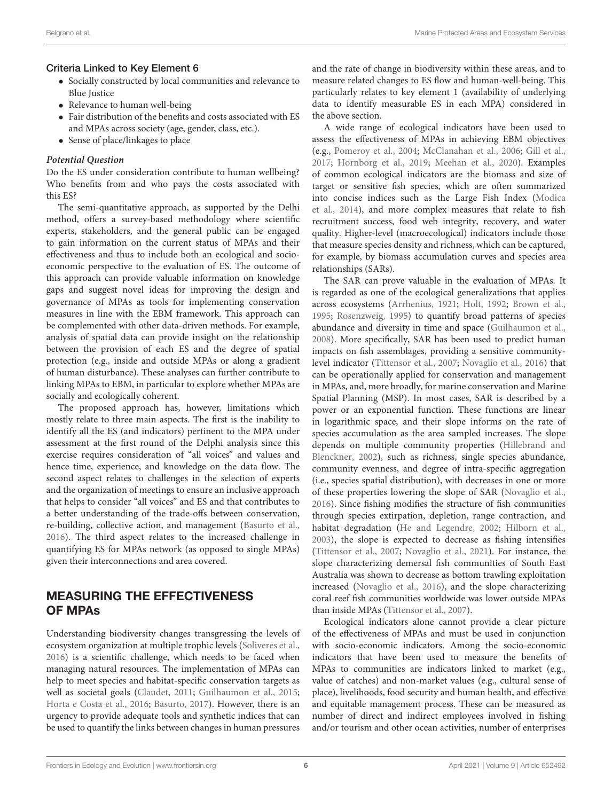## Criteria Linked to Key Element 6

- Socially constructed by local communities and relevance to Blue Justice
- Relevance to human well-being
- Fair distribution of the benefits and costs associated with ES and MPAs across society (age, gender, class, etc.).
- Sense of place/linkages to place

## **Potential Question**

Do the ES under consideration contribute to human wellbeing? Who benefits from and who pays the costs associated with this ES?

The semi-quantitative approach, as supported by the Delhi method, offers a survey-based methodology where scientific experts, stakeholders, and the general public can be engaged to gain information on the current status of MPAs and their effectiveness and thus to include both an ecological and socioeconomic perspective to the evaluation of ES. The outcome of this approach can provide valuable information on knowledge gaps and suggest novel ideas for improving the design and governance of MPAs as tools for implementing conservation measures in line with the EBM framework. This approach can be complemented with other data-driven methods. For example, analysis of spatial data can provide insight on the relationship between the provision of each ES and the degree of spatial protection (e.g., inside and outside MPAs or along a gradient of human disturbance). These analyses can further contribute to linking MPAs to EBM, in particular to explore whether MPAs are socially and ecologically coherent.

The proposed approach has, however, limitations which mostly relate to three main aspects. The first is the inability to identify all the ES (and indicators) pertinent to the MPA under assessment at the first round of the Delphi analysis since this exercise requires consideration of "all voices" and values and hence time, experience, and knowledge on the data flow. The second aspect relates to challenges in the selection of experts and the organization of meetings to ensure an inclusive approach that helps to consider "all voices" and ES and that contributes to a better understanding of the trade-offs between conservation, re-building, collective action, and management [\(Basurto et al.,](#page-7-12) [2016\)](#page-7-12). The third aspect relates to the increased challenge in quantifying ES for MPAs network (as opposed to single MPAs) given their interconnections and area covered.

# MEASURING THE EFFECTIVENESS OF MPAs

Understanding biodiversity changes transgressing the levels of ecosystem organization at multiple trophic levels [\(Soliveres et al.,](#page-9-20) [2016\)](#page-9-20) is a scientific challenge, which needs to be faced when managing natural resources. The implementation of MPAs can help to meet species and habitat-specific conservation targets as well as societal goals [\(Claudet,](#page-8-26) [2011;](#page-8-26) [Guilhaumon et al.,](#page-8-27) [2015;](#page-8-27) [Horta e Costa et al.,](#page-8-28) [2016;](#page-8-28) [Basurto,](#page-7-13) [2017\)](#page-7-13). However, there is an urgency to provide adequate tools and synthetic indices that can be used to quantify the links between changes in human pressures

and the rate of change in biodiversity within these areas, and to measure related changes to ES flow and human-well-being. This particularly relates to key element 1 (availability of underlying data to identify measurable ES in each MPA) considered in the above section.

A wide range of ecological indicators have been used to assess the effectiveness of MPAs in achieving EBM objectives (e.g., [Pomeroy et al.,](#page-9-21) [2004;](#page-9-21) [McClanahan et al.,](#page-9-22) [2006;](#page-9-22) [Gill et al.,](#page-8-29) [2017;](#page-8-29) [Hornborg et al.,](#page-8-30) [2019;](#page-8-30) [Meehan et al.,](#page-9-23) [2020\)](#page-9-23). Examples of common ecological indicators are the biomass and size of target or sensitive fish species, which are often summarized into concise indices such as the Large Fish Index [\(Modica](#page-9-24) [et al.,](#page-9-24) [2014\)](#page-9-24), and more complex measures that relate to fish recruitment success, food web integrity, recovery, and water quality. Higher-level (macroecological) indicators include those that measure species density and richness, which can be captured, for example, by biomass accumulation curves and species area relationships (SARs).

The SAR can prove valuable in the evaluation of MPAs. It is regarded as one of the ecological generalizations that applies across ecosystems [\(Arrhenius,](#page-7-14) [1921;](#page-7-14) [Holt,](#page-8-31) [1992;](#page-8-31) [Brown et al.,](#page-7-15) [1995;](#page-7-15) [Rosenzweig,](#page-9-25) [1995\)](#page-9-25) to quantify broad patterns of species abundance and diversity in time and space [\(Guilhaumon et al.,](#page-8-32) [2008\)](#page-8-32). More specifically, SAR has been used to predict human impacts on fish assemblages, providing a sensitive communitylevel indicator [\(Tittensor et al.,](#page-9-26) [2007;](#page-9-26) [Novaglio et al.,](#page-9-27) [2016\)](#page-9-27) that can be operationally applied for conservation and management in MPAs, and, more broadly, for marine conservation and Marine Spatial Planning (MSP). In most cases, SAR is described by a power or an exponential function. These functions are linear in logarithmic space, and their slope informs on the rate of species accumulation as the area sampled increases. The slope depends on multiple community properties [\(Hillebrand and](#page-8-33) [Blenckner,](#page-8-33) [2002\)](#page-8-33), such as richness, single species abundance, community evenness, and degree of intra-specific aggregation (i.e., species spatial distribution), with decreases in one or more of these properties lowering the slope of SAR [\(Novaglio et al.,](#page-9-27) [2016\)](#page-9-27). Since fishing modifies the structure of fish communities through species extirpation, depletion, range contraction, and habitat degradation [\(He and Legendre,](#page-8-34) [2002;](#page-8-34) [Hilborn et al.,](#page-8-35) [2003\)](#page-8-35), the slope is expected to decrease as fishing intensifies [\(Tittensor et al.,](#page-9-26) [2007;](#page-9-26) [Novaglio et al.,](#page-9-10) [2021\)](#page-9-10). For instance, the slope characterizing demersal fish communities of South East Australia was shown to decrease as bottom trawling exploitation increased [\(Novaglio et al.,](#page-9-27) [2016\)](#page-9-27), and the slope characterizing coral reef fish communities worldwide was lower outside MPAs than inside MPAs [\(Tittensor et al.,](#page-9-26) [2007\)](#page-9-26).

Ecological indicators alone cannot provide a clear picture of the effectiveness of MPAs and must be used in conjunction with socio-economic indicators. Among the socio-economic indicators that have been used to measure the benefits of MPAs to communities are indicators linked to market (e.g., value of catches) and non-market values (e.g., cultural sense of place), livelihoods, food security and human health, and effective and equitable management process. These can be measured as number of direct and indirect employees involved in fishing and/or tourism and other ocean activities, number of enterprises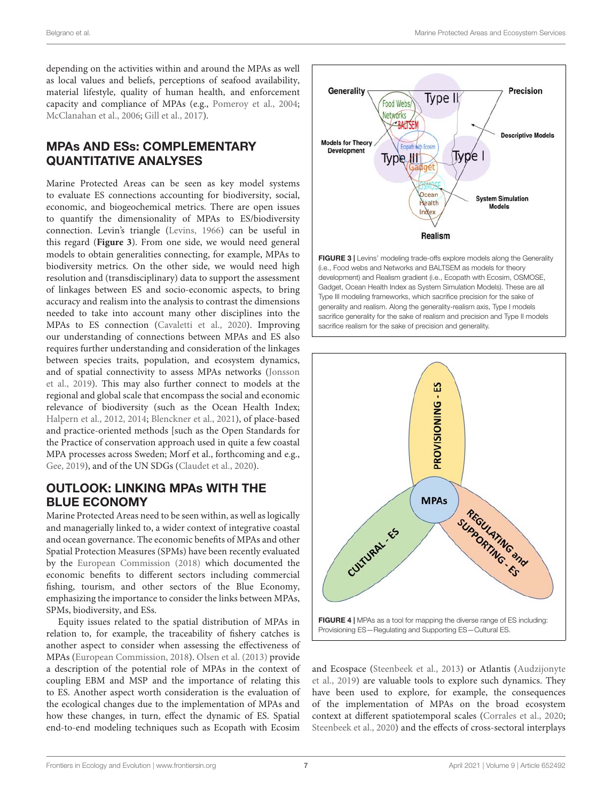depending on the activities within and around the MPAs as well as local values and beliefs, perceptions of seafood availability, material lifestyle, quality of human health, and enforcement capacity and compliance of MPAs (e.g., [Pomeroy et al.,](#page-9-21) [2004;](#page-9-21) [McClanahan et al.,](#page-9-22) [2006;](#page-9-22) [Gill et al.,](#page-8-29) [2017\)](#page-8-29).

# MPAs AND ESs: COMPLEMENTARY QUANTITATIVE ANALYSES

Marine Protected Areas can be seen as key model systems to evaluate ES connections accounting for biodiversity, social, economic, and biogeochemical metrics. There are open issues to quantify the dimensionality of MPAs to ES/biodiversity connection. Levin's triangle [\(Levins,](#page-9-28) [1966\)](#page-9-28) can be useful in this regard (**[Figure 3](#page-6-0)**). From one side, we would need general models to obtain generalities connecting, for example, MPAs to biodiversity metrics. On the other side, we would need high resolution and (transdisciplinary) data to support the assessment of linkages between ES and socio-economic aspects, to bring accuracy and realism into the analysis to contrast the dimensions needed to take into account many other disciplines into the MPAs to ES connection [\(Cavaletti et al.,](#page-8-36) [2020\)](#page-8-36). Improving our understanding of connections between MPAs and ES also requires further understanding and consideration of the linkages between species traits, population, and ecosystem dynamics, and of spatial connectivity to assess MPAs networks [\(Jonsson](#page-9-29) [et al.,](#page-9-29) [2019\)](#page-9-29). This may also further connect to models at the regional and global scale that encompass the social and economic relevance of biodiversity (such as the Ocean Health Index; [Halpern et al.,](#page-8-37) [2012,](#page-8-37) [2014;](#page-8-38) [Blenckner et al.,](#page-7-16) [2021\)](#page-7-16), of place-based and practice-oriented methods [such as the Open Standards for the Practice of conservation approach used in quite a few coastal MPA processes across Sweden; Morf et al., forthcoming and e.g., [Gee,](#page-8-39) [2019\)](#page-8-39), and of the UN SDGs [\(Claudet et al.,](#page-8-40) [2020\)](#page-8-40).

# OUTLOOK: LINKING MPAs WITH THE BLUE ECONOMY

Marine Protected Areas need to be seen within, as well as logically and managerially linked to, a wider context of integrative coastal and ocean governance. The economic benefits of MPAs and other Spatial Protection Measures (SPMs) have been recently evaluated by the [European Commission](#page-8-41) [\(2018\)](#page-8-41) which documented the economic benefits to different sectors including commercial fishing, tourism, and other sectors of the Blue Economy, emphasizing the importance to consider the links between MPAs, SPMs, biodiversity, and ESs.

Equity issues related to the spatial distribution of MPAs in relation to, for example, the traceability of fishery catches is another aspect to consider when assessing the effectiveness of MPAs [\(European Commission,](#page-8-41) [2018\)](#page-8-41). [Olsen et al.](#page-9-30) [\(2013\)](#page-9-30) provide a description of the potential role of MPAs in the context of coupling EBM and MSP and the importance of relating this to ES. Another aspect worth consideration is the evaluation of the ecological changes due to the implementation of MPAs and how these changes, in turn, effect the dynamic of ES. Spatial end-to-end modeling techniques such as Ecopath with Ecosim



<span id="page-6-0"></span>FIGURE 3 | Levins' modeling trade-offs explore models along the Generality (i.e., Food webs and Networks and BALTSEM as models for theory development) and Realism gradient (i.e., Ecopath with Ecosim, OSMOSE, Gadget, Ocean Health Index as System Simulation Models). These are all Type III modeling frameworks, which sacrifice precision for the sake of generality and realism. Along the generality-realism axis, Type I models sacrifice generality for the sake of realism and precision and Type II models sacrifice realism for the sake of precision and generality.



<span id="page-6-1"></span>and Ecospace [\(Steenbeek et al.,](#page-9-31) [2013\)](#page-9-31) or Atlantis [\(Audzijonyte](#page-7-17) [et al.,](#page-7-17) [2019\)](#page-7-17) are valuable tools to explore such dynamics. They have been used to explore, for example, the consequences of the implementation of MPAs on the broad ecosystem context at different spatiotemporal scales [\(Corrales et al.,](#page-8-42) [2020;](#page-8-42) [Steenbeek et al.,](#page-9-32) [2020\)](#page-9-32) and the effects of cross-sectoral interplays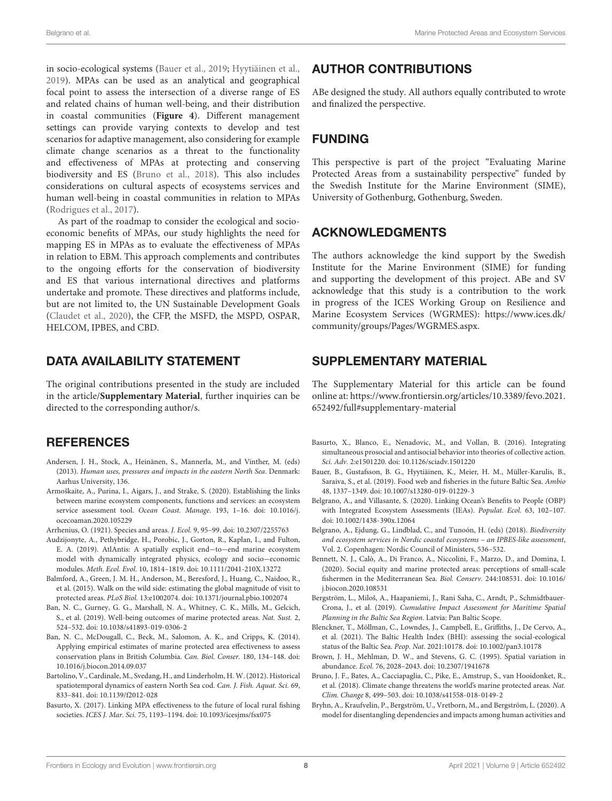in socio-ecological systems [\(Bauer et al.,](#page-7-18) [2019;](#page-7-18) [Hyytiäinen et al.,](#page-8-43) [2019\)](#page-8-43). MPAs can be used as an analytical and geographical focal point to assess the intersection of a diverse range of ES and related chains of human well-being, and their distribution in coastal communities (**[Figure 4](#page-6-1)**). Different management settings can provide varying contexts to develop and test scenarios for adaptive management, also considering for example climate change scenarios as a threat to the functionality and effectiveness of MPAs at protecting and conserving biodiversity and ES [\(Bruno et al.,](#page-7-19) [2018\)](#page-7-19). This also includes considerations on cultural aspects of ecosystems services and human well-being in coastal communities in relation to MPAs [\(Rodrigues et al.,](#page-9-33) [2017\)](#page-9-33).

As part of the roadmap to consider the ecological and socioeconomic benefits of MPAs, our study highlights the need for mapping ES in MPAs as to evaluate the effectiveness of MPAs in relation to EBM. This approach complements and contributes to the ongoing efforts for the conservation of biodiversity and ES that various international directives and platforms undertake and promote. These directives and platforms include, but are not limited to, the UN Sustainable Development Goals [\(Claudet et al.,](#page-8-40) [2020\)](#page-8-40), the CFP, the MSFD, the MSPD, OSPAR, HELCOM, IPBES, and CBD.

## DATA AVAILABILITY STATEMENT

The original contributions presented in the study are included in the article/**[Supplementary Material](#page-7-10)**, further inquiries can be directed to the corresponding author/s.

## **REFERENCES**

- <span id="page-7-7"></span>Andersen, J. H., Stock, A., Heinänen, S., Mannerla, M., and Vinther, M. (eds) (2013). Human uses, pressures and impacts in the eastern North Sea. Denmark: Aarhus University, 136.
- <span id="page-7-11"></span>Armoškaite, A., Purina, I., Aigars, J., and Strake, S. (2020). Establishing the links between marine ecosystem components, functions and services: an ecosystem service assessment tool. Ocean Coast. Manage. 193, 1-16. [doi: 10.1016/j.](https://doi.org/10.1016/j.ocecoaman.2020.105229) [ocecoaman.2020.105229](https://doi.org/10.1016/j.ocecoaman.2020.105229)
- <span id="page-7-14"></span>Arrhenius, O. (1921). Species and areas. J. Ecol. 9, 95–99. [doi: 10.2307/2255763](https://doi.org/10.2307/2255763)
- <span id="page-7-17"></span>Audzijonyte, A., Pethybridge, H., Porobic, J., Gorton, R., Kaplan, I., and Fulton, E. A. (2019). AtlAntis: A spatially explicit end−to−end marine ecosystem model with dynamically integrated physics, ecology and socio−economic modules. Meth. Ecol. Evol. 10, 1814–1819. [doi: 10.1111/2041-210X.13272](https://doi.org/10.1111/2041-210X.13272)
- <span id="page-7-5"></span>Balmford, A., Green, J. M. H., Anderson, M., Beresford, J., Huang, C., Naidoo, R., et al. (2015). Walk on the wild side: estimating the global magnitude of visit to protected areas. PLoS Biol. 13:e1002074. [doi: 10.1371/journal.pbio.1002074](https://doi.org/10.1371/journal.pbio.1002074)
- <span id="page-7-2"></span>Ban, N. C., Gurney, G. G., Marshall, N. A., Whitney, C. K., Mills, M., Gelcich, S., et al. (2019). Well-being outcomes of marine protected areas. Nat. Sust. 2, 524–532. [doi: 10.1038/s41893-019-0306-2](https://doi.org/10.1038/s41893-019-0306-2)
- <span id="page-7-1"></span>Ban, N. C., McDougall, C., Beck, M., Salomon, A. K., and Cripps, K. (2014). Applying empirical estimates of marine protected area effectiveness to assess conservation plans in British Columbia. Can. Biol. Conser. 180, 134–148. [doi:](https://doi.org/10.1016/j.biocon.2014.09.037) [10.1016/j.biocon.2014.09.037](https://doi.org/10.1016/j.biocon.2014.09.037)
- <span id="page-7-9"></span>Bartolino, V., Cardinale, M., Svedang, H., and Linderholm, H. W. (2012). Historical spatiotemporal dynamics of eastern North Sea cod. Can. J. Fish. Aquat. Sci. 69, 833–841. [doi: 10.1139/f2012-028](https://doi.org/10.1139/f2012-028)
- <span id="page-7-13"></span>Basurto, X. (2017). Linking MPA effectiveness to the future of local rural fishing societies. ICES J. Mar. Sci. 75, 1193–1194. [doi: 10.1093/icesjms/fsx075](https://doi.org/10.1093/icesjms/fsx075)

## AUTHOR CONTRIBUTIONS

ABe designed the study. All authors equally contributed to wrote and finalized the perspective.

## FUNDING

This perspective is part of the project "Evaluating Marine Protected Areas from a sustainability perspective" funded by the Swedish Institute for the Marine Environment (SIME), University of Gothenburg, Gothenburg, Sweden.

## ACKNOWLEDGMENTS

The authors acknowledge the kind support by the Swedish Institute for the Marine Environment (SIME) for funding and supporting the development of this project. ABe and SV acknowledge that this study is a contribution to the work in progress of the ICES Working Group on Resilience and Marine Ecosystem Services (WGRMES): [https://www.ices.dk/](https://www.ices.dk/community/groups/Pages/WGRMES.aspx) [community/groups/Pages/WGRMES.aspx.](https://www.ices.dk/community/groups/Pages/WGRMES.aspx)

## <span id="page-7-10"></span>SUPPLEMENTARY MATERIAL

The Supplementary Material for this article can be found online at: [https://www.frontiersin.org/articles/10.3389/fevo.2021.](https://www.frontiersin.org/articles/10.3389/fevo.2021.652492/full#supplementary-material) [652492/full#supplementary-material](https://www.frontiersin.org/articles/10.3389/fevo.2021.652492/full#supplementary-material)

- <span id="page-7-12"></span>Basurto, X., Blanco, E., Nenadovic, M., and Vollan, B. (2016). Integrating simultaneous prosocial and antisocial behavior into theories of collective action. Sci. Adv. 2:e1501220. [doi: 10.1126/sciadv.1501220](https://doi.org/10.1126/sciadv.1501220)
- <span id="page-7-18"></span>Bauer, B., Gustafsson, B. G., Hyytiäinen, K., Meier, H. M., Müller-Karulis, B., Saraiva, S., et al. (2019). Food web and fisheries in the future Baltic Sea. Ambio 48, 1337–1349. [doi: 10.1007/s13280-019-01229-3](https://doi.org/10.1007/s13280-019-01229-3)
- <span id="page-7-6"></span>Belgrano, A., and Villasante, S. (2020). Linking Ocean's Benefits to People (OBP) with Integrated Ecosystem Assessments (IEAs). Populat. Ecol. 63, 102–107. [doi: 10.1002/1438-390x.12064](https://doi.org/10.1002/1438-390x.12064)
- <span id="page-7-4"></span>Belgrano, A., Ejdung, G., Lindblad, C., and Tunoón, H. (eds) (2018). Biodiversity and ecosystem services in Nordic coastal ecosystems – an IPBES-like assessment, Vol. 2. Copenhagen: Nordic Council of Ministers, 536–532.
- <span id="page-7-3"></span>Bennett, N. J., Calò, A., Di Franco, A., Niccolini, F., Marzo, D., and Domina, I. (2020). Social equity and marine protected areas: perceptions of small-scale fishermen in the Mediterranean Sea. Biol. Conserv. 244:108531. [doi: 10.1016/](https://doi.org/10.1016/j.biocon.2020.108531) [j.biocon.2020.108531](https://doi.org/10.1016/j.biocon.2020.108531)
- <span id="page-7-8"></span>Bergström, L., Miloš, A., Haapaniemi, J., Rani Saha, C., Arndt, P., Schmidtbauer-Crona, J., et al. (2019). Cumulative Impact Assessment for Maritime Spatial Planning in the Baltic Sea Region. Latvia: Pan Baltic Scope.
- <span id="page-7-16"></span>Blenckner, T., Möllman, C., Lowndes, J., Campbell, E., Griffiths, J., De Cervo, A., et al. (2021). The Baltic Health Index (BHI): assessing the social-ecological status of the Baltic Sea. Peop. Nat. 2021:10178. [doi: 10.1002/pan3.10178](https://doi.org/10.1002/pan3.10178)
- <span id="page-7-15"></span>Brown, J. H., Mehlman, D. W., and Stevens, G. C. (1995). Spatial variation in abundance. Ecol. 76, 2028–2043. [doi: 10.2307/1941678](https://doi.org/10.2307/1941678)
- <span id="page-7-19"></span>Bruno, J. F., Bates, A., Cacciapaglia, C., Pike, E., Amstrup, S., van Hooidonket, R., et al. (2018). Climate change threatens the world's marine protected areas. Nat. Clim. Change 8, 499–503. [doi: 10.1038/s41558-018-0149-2](https://doi.org/10.1038/s41558-018-0149-2)
- <span id="page-7-0"></span>Bryhn, A., Kraufvelin, P., Bergström, U., Vretborn, M., and Bergström, L. (2020). A model for disentangling dependencies and impacts among human activities and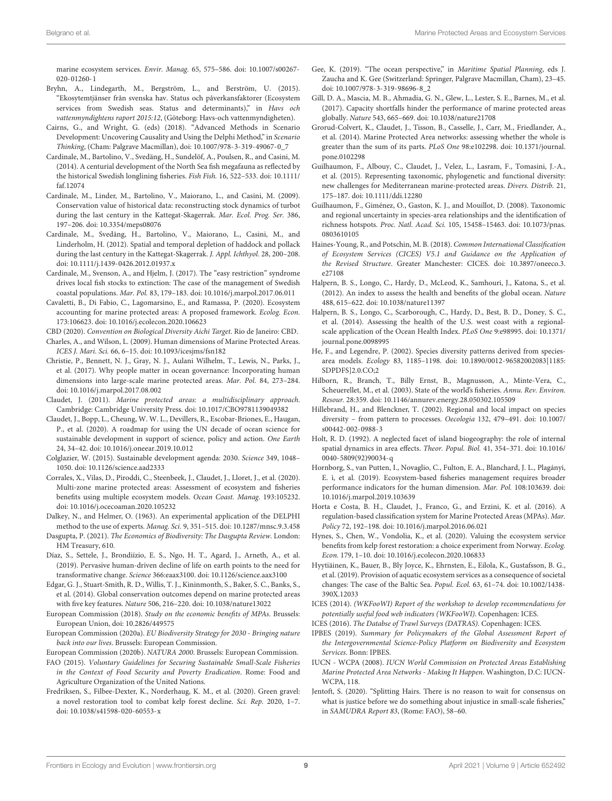marine ecosystem services. Envir. Manag. 65, 575–586. [doi: 10.1007/s00267-](https://doi.org/10.1007/s00267-020-01260-1) [020-01260-1](https://doi.org/10.1007/s00267-020-01260-1)

- <span id="page-8-14"></span>Bryhn, A., Lindegarth, M., Bergström, L., and Berström, U. (2015). "Ekosytemtjänser från svenska hav. Status och påverkansfaktorer (Ecosystem services from Swedish seas. Status and determinants)," in Havs och vattenmyndightens raport 2015:12, (Göteborg: Havs-och vattenmyndigheten).
- <span id="page-8-21"></span>Cairns, G., and Wright, G. (eds) (2018). "Advanced Methods in Scenario Development: Uncovering Causality and Using the Delphi Method," in Scenario Thinking, (Cham: Palgrave Macmillan), [doi: 10.1007/978-3-319-49067-0\\_7](https://doi.org/10.1007/978-3-319-49067-0_7)
- <span id="page-8-16"></span>Cardinale, M., Bartolino, V., Svedäng, H., Sundelöf, A., Poulsen, R., and Casini, M. (2014). A centurial development of the North Sea fish megafauna as reflected by the historical Swedish longlining fisheries. Fish Fish. 16, 522–533. [doi: 10.1111/](https://doi.org/10.1111/faf.12074) [faf.12074](https://doi.org/10.1111/faf.12074)
- <span id="page-8-18"></span>Cardinale, M., Linder, M., Bartolino, V., Maiorano, L., and Casini, M. (2009). Conservation value of historical data: reconstructing stock dynamics of turbot during the last century in the Kattegat-Skagerrak. Mar. Ecol. Prog. Ser. 386, 197–206. [doi: 10.3354/meps08076](https://doi.org/10.3354/meps08076)
- <span id="page-8-15"></span>Cardinale, M., Svedäng, H., Bartolino, V., Maiorano, L., Casini, M., and Linderholm, H. (2012). Spatial and temporal depletion of haddock and pollack during the last century in the Kattegat-Skagerrak. J. Appl. Ichthyol. 28, 200–208. [doi: 10.1111/j.1439-0426.2012.01937.x](https://doi.org/10.1111/j.1439-0426.2012.01937.x)
- <span id="page-8-17"></span>Cardinale, M., Svenson, A., and Hjelm, J. (2017). The "easy restriction" syndrome drives local fish stocks to extinction: The case of the management of Swedish coastal populations. Mar. Pol. 83, 179–183. [doi: 10.1016/j.marpol.2017.06.011](https://doi.org/10.1016/j.marpol.2017.06.011)
- <span id="page-8-36"></span>Cavaletti, B., Di Fabio, C., Lagomarsino, E., and Ramassa, P. (2020). Ecosystem accounting for marine protected areas: A proposed framework. Ecolog. Econ. 173:106623. [doi: 10.1016/j.ecolecon.2020.106623](https://doi.org/10.1016/j.ecolecon.2020.106623)
- <span id="page-8-7"></span><span id="page-8-3"></span>CBD (2020). Convention on Biological Diversity Aichi Target. Rio de Janeiro: CBD. Charles, A., and Wilson, L. (2009). Human dimensions of Marine Protected Areas. ICES J. Mari. Sci. 66, 6–15. [doi: 10.1093/icesjms/fsn182](https://doi.org/10.1093/icesjms/fsn182)
- <span id="page-8-8"></span>Christie, P., Bennett, N. J., Gray, N. J., Aulani Wilhelm, T., Lewis, N., Parks, J., et al. (2017). Why people matter in ocean governance: Incorporating human dimensions into large-scale marine protected areas. Mar. Pol. 84, 273–284. [doi: 10.1016/j.marpol.2017.08.002](https://doi.org/10.1016/j.marpol.2017.08.002)
- <span id="page-8-26"></span>Claudet, J. (2011). Marine protected areas: a multidisciplinary approach. Cambridge: Cambridge University Press. [doi: 10.1017/CBO9781139049382](https://doi.org/10.1017/CBO9781139049382)
- <span id="page-8-40"></span>Claudet, J., Bopp, L., Cheung, W. W. L., Devillers, R., Escobar-Briones, E., Haugan, P., et al. (2020). A roadmap for using the UN decade of ocean science for sustainable development in support of science, policy and action. One Earth 24, 34–42. [doi: 10.1016/j.oneear.2019.10.012](https://doi.org/10.1016/j.oneear.2019.10.012)
- <span id="page-8-11"></span>Colglazier, W. (2015). Sustainable development agenda: 2030. Science 349, 1048– 1050. [doi: 10.1126/science.aad2333](https://doi.org/10.1126/science.aad2333)
- <span id="page-8-42"></span>Corrales, X., Vilas, D., Piroddi, C., Steenbeek, J., Claudet, J., Lloret, J., et al. (2020). Multi-zone marine protected areas: Assessment of ecosystem and fisheries benefits using multiple ecosystem models. Ocean Coast. Manag. 193:105232. [doi: 10.1016/j.ocecoaman.2020.105232](https://doi.org/10.1016/j.ocecoaman.2020.105232)
- <span id="page-8-20"></span>Dalkey, N., and Helmer, O. (1963). An experimental application of the DELPHI method to the use of experts. Manag. Sci. 9, 351–515. [doi: 10.1287/mnsc.9.3.458](https://doi.org/10.1287/mnsc.9.3.458)
- <span id="page-8-9"></span>Dasgupta, P. (2021). The Economics of Biodiversity: The Dasgupta Review. London: HM Treasury, 610.
- <span id="page-8-24"></span>Díaz, S., Settele, J., Brondiízio, E. S., Ngo, H. T., Agard, J., Arneth, A., et al. (2019). Pervasive human-driven decline of life on earth points to the need for transformative change. Science 366:eaax3100. [doi: 10.1126/science.aax3100](https://doi.org/10.1126/science.aax3100)
- <span id="page-8-0"></span>Edgar, G. J., Stuart-Smith, R. D., Willis, T. J., Kininmonth, S., Baker, S. C., Banks, S., et al. (2014). Global conservation outcomes depend on marine protected areas with five key features. Nature 506, 216–220. [doi: 10.1038/nature13022](https://doi.org/10.1038/nature13022)
- <span id="page-8-41"></span>European Commission (2018). Study on the economic benefits of MPAs. Brussels: European Union, [doi: 10.2826/449575](https://doi.org/10.2826/449575)
- <span id="page-8-4"></span>European Commission (2020a). EU Biodiversity Strategy for 2030 - Bringing nature back into our lives. Brussels: European Commission.

<span id="page-8-13"></span>European Commission (2020b). NATURA 2000. Brussels: European Commission.

- <span id="page-8-10"></span>FAO (2015). Voluntary Guidelines for Securing Sustainable Small-Scale Fisheries in the Context of Food Security and Poverty Eradication. Rome: Food and Agriculture Organization of the United Nations.
- <span id="page-8-5"></span>Fredriksen, S., Filbee-Dexter, K., Norderhaug, K. M., et al. (2020). Green gravel: a novel restoration tool to combat kelp forest decline. Sci. Rep. 2020, 1–7. [doi: 10.1038/s41598-020-60553-x](https://doi.org/10.1038/s41598-020-60553-x)
- <span id="page-8-39"></span>Gee, K. (2019). "The ocean perspective," in Maritime Spatial Planning, eds J. Zaucha and K. Gee (Switzerland: Springer, Palgrave Macmillan, Cham), 23–45. [doi: 10.1007/978-3-319-98696-8\\_2](https://doi.org/10.1007/978-3-319-98696-8_2)
- <span id="page-8-29"></span>Gill, D. A., Mascia, M. B., Ahmadia, G. N., Glew, L., Lester, S. E., Barnes, M., et al. (2017). Capacity shortfalls hinder the performance of marine protected areas globally. Nature 543, 665–669. [doi: 10.1038/nature21708](https://doi.org/10.1038/nature21708)
- <span id="page-8-1"></span>Grorud-Colvert, K., Claudet, J., Tisson, B., Casselle, J., Carr, M., Friedlander, A., et al. (2014). Marine Protected Area networks: assessing whether the whole is greater than the sum of its parts. PLoS One 98:e102298. [doi: 10.1371/journal.](https://doi.org/10.1371/journal.pone.0102298) [pone.0102298](https://doi.org/10.1371/journal.pone.0102298)
- <span id="page-8-27"></span>Guilhaumon, F., Albouy, C., Claudet, J., Velez, L., Lasram, F., Tomasini, J.-A., et al. (2015). Representing taxonomic, phylogenetic and functional diversity: new challenges for Mediterranean marine-protected areas. Divers. Distrib. 21, 175–187. [doi: 10.1111/ddi.12280](https://doi.org/10.1111/ddi.12280)
- <span id="page-8-32"></span>Guilhaumon, F., Giménez, O., Gaston, K. J., and Mouillot, D. (2008). Taxonomic and regional uncertainty in species-area relationships and the identification of richness hotspots. Proc. Natl. Acad. Sci. 105, 15458–15463. [doi: 10.1073/pnas.](https://doi.org/10.1073/pnas.0803610105) [0803610105](https://doi.org/10.1073/pnas.0803610105)
- <span id="page-8-23"></span>Haines-Young, R., and Potschin, M. B. (2018). Common International Classification of Ecosystem Services (CICES) V5.1 and Guidance on the Application of the Revised Structure. Greater Manchester: CICES. [doi: 10.3897/oneeco.3.](https://doi.org/10.3897/oneeco.3.e27108) [e27108](https://doi.org/10.3897/oneeco.3.e27108)
- <span id="page-8-37"></span>Halpern, B. S., Longo, C., Hardy, D., McLeod, K., Samhouri, J., Katona, S., et al. (2012). An index to assess the health and benefits of the global ocean. Nature 488, 615–622. [doi: 10.1038/nature11397](https://doi.org/10.1038/nature11397)
- <span id="page-8-38"></span>Halpern, B. S., Longo, C., Scarborough, C., Hardy, D., Best, B. D., Doney, S. C., et al. (2014). Assessing the health of the U.S. west coast with a regionalscale application of the Ocean Health Index. PLoS One 9:e98995. [doi: 10.1371/](https://doi.org/10.1371/journal.pone.0098995) [journal.pone.0098995](https://doi.org/10.1371/journal.pone.0098995)
- <span id="page-8-34"></span>He, F., and Legendre, P. (2002). Species diversity patterns derived from speciesarea models. Ecology 83, 1185–1198. [doi: 10.1890/0012-96582002083\[1185:](https://doi.org/10.1890/0012-96582002083[1185:SDPDFS]2.0.CO;2) [SDPDFS\]2.0.CO;2](https://doi.org/10.1890/0012-96582002083[1185:SDPDFS]2.0.CO;2)
- <span id="page-8-35"></span>Hilborn, R., Branch, T., Billy Ernst, B., Magnusson, A., Minte-Vera, C., Scheuerellet, M., et al. (2003). State of the world's fisheries. Annu. Rev. Environ. Resour. 28:359. [doi: 10.1146/annurev.energy.28.050302.105509](https://doi.org/10.1146/annurev.energy.28.050302.105509)
- <span id="page-8-33"></span>Hillebrand, H., and Blenckner, T. (2002). Regional and local impact on species diversity – from pattern to processes. Oecologia 132, 479–491. [doi: 10.1007/](https://doi.org/10.1007/s00442-002-0988-3) [s00442-002-0988-3](https://doi.org/10.1007/s00442-002-0988-3)
- <span id="page-8-31"></span>Holt, R. D. (1992). A neglected facet of island biogeography: the role of internal spatial dynamics in area effects. Theor. Popul. Biol. 41, 354–371. [doi: 10.1016/](https://doi.org/10.1016/0040-5809(92)90034-q) [0040-5809\(92\)90034-q](https://doi.org/10.1016/0040-5809(92)90034-q)
- <span id="page-8-30"></span>Hornborg, S., van Putten, I., Novaglio, C., Fulton, E. A., Blanchard, J. L., Plagányi, E. ì, et al. (2019). Ecosystem-based fisheries management requires broader performance indicators for the human dimension. Mar. Pol. 108:103639. [doi:](https://doi.org/10.1016/j.marpol.2019.103639) [10.1016/j.marpol.2019.103639](https://doi.org/10.1016/j.marpol.2019.103639)
- <span id="page-8-28"></span>Horta e Costa, B. H., Claudet, J., Franco, G., and Erzini, K. et al. (2016). A regulation-based classification system for Marine Protected Areas (MPAs). Mar. Policy 72, 192–198. [doi: 10.1016/j.marpol.2016.06.021](https://doi.org/10.1016/j.marpol.2016.06.021)
- <span id="page-8-6"></span>Hynes, S., Chen, W., Vondolia, K., et al. (2020). Valuing the ecosystem service benefits from kelp forest restoration: a choice experiment from Norway. Ecolog. Econ. 179, 1–10. [doi: 10.1016/j.ecolecon.2020.106833](https://doi.org/10.1016/j.ecolecon.2020.106833)
- <span id="page-8-43"></span>Hyytiäinen, K., Bauer, B., Bly Joyce, K., Ehrnsten, E., Eilola, K., Gustafsson, B. G., et al. (2019). Provision of aquatic ecosystem services as a consequence of societal changes: The case of the Baltic Sea. Popul. Ecol. 63, 61–74. [doi: 10.1002/1438-](https://doi.org/10.1002/1438-390X.12033) [390X.12033](https://doi.org/10.1002/1438-390X.12033)
- <span id="page-8-22"></span>ICES (2014). (WKFooWI) Report of the workshop to develop recommendations for potentially useful food web indicators (WKFooWI). Copenhagen: ICES.

<span id="page-8-19"></span>ICES (2016). The Databse of Trawl Surveys (DATRAS). Copenhagen: ICES.

- <span id="page-8-25"></span>IPBES (2019). Summary for Policymakers of the Global Assessment Report of the Intergovernmental Science-Policy Platform on Biodiversity and Ecosystem Services. Bonn: IPBES.
- <span id="page-8-2"></span>IUCN - WCPA (2008). IUCN World Commission on Protected Areas Establishing Marine Protected Area Networks - Making It Happen. Washington, D.C: IUCN-WCPA, 118.
- <span id="page-8-12"></span>Jentoft, S. (2020). "Splitting Hairs. There is no reason to wait for consensus on what is justice before we do something about injustice in small-scale fisheries," in SAMUDRA Report 83, (Rome: FAO), 58–60.